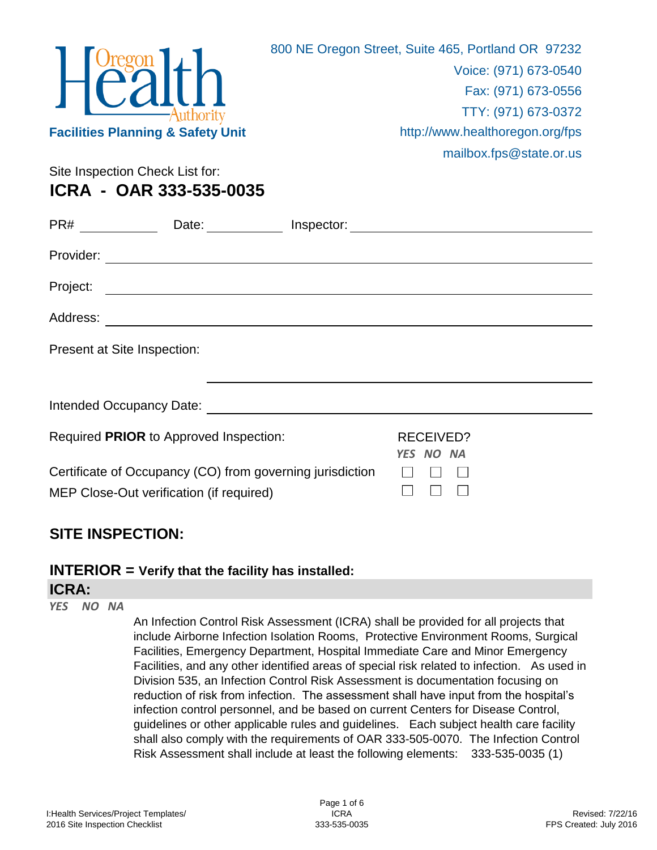

Site Inspection Check List for: **ICRA - OAR 333-535-0035**

| PR# __________                                                                                                                                                                                                                | Date:<br><u>and a strong strong</u>                                                                                  | Inspector: |                        |  |  |  |  |
|-------------------------------------------------------------------------------------------------------------------------------------------------------------------------------------------------------------------------------|----------------------------------------------------------------------------------------------------------------------|------------|------------------------|--|--|--|--|
| Provider:                                                                                                                                                                                                                     |                                                                                                                      |            |                        |  |  |  |  |
| Project:                                                                                                                                                                                                                      | <u> 1989 - Johann John Stein, markin film yn y brening yn y brening yn y brening yn y brening y brening yn y bre</u> |            |                        |  |  |  |  |
| Address:                                                                                                                                                                                                                      | <u> 1980 - Johann Barn, mars ann an t-Amhainn an t-Amhainn an t-Amhainn an t-Amhainn an t-Amhainn an t-Amhainn a</u> |            |                        |  |  |  |  |
| Present at Site Inspection:                                                                                                                                                                                                   |                                                                                                                      |            |                        |  |  |  |  |
|                                                                                                                                                                                                                               |                                                                                                                      |            |                        |  |  |  |  |
| Intended Occupancy Date: Notelland School and School and School and School and School and School and School and School and School and School and School and School and School and School and School and School and School and |                                                                                                                      |            |                        |  |  |  |  |
|                                                                                                                                                                                                                               | Required PRIOR to Approved Inspection:                                                                               |            | RECEIVED?<br>YES NO NA |  |  |  |  |
|                                                                                                                                                                                                                               | Certificate of Occupancy (CO) from governing jurisdiction<br>MEP Close-Out verification (if required)                |            |                        |  |  |  |  |

## **SITE INSPECTION:**

## **INTERIOR = Verify that the facility has installed:**

#### **ICRA:**

*YES NO NA*

An Infection Control Risk Assessment (ICRA) shall be provided for all projects that include Airborne Infection Isolation Rooms, Protective Environment Rooms, Surgical Facilities, Emergency Department, Hospital Immediate Care and Minor Emergency Facilities, and any other identified areas of special risk related to infection. As used in Division 535, an Infection Control Risk Assessment is documentation focusing on reduction of risk from infection. The assessment shall have input from the hospital's infection control personnel, and be based on current Centers for Disease Control, guidelines or other applicable rules and guidelines. Each subject health care facility shall also comply with the requirements of OAR 333-505-0070. The Infection Control Risk Assessment shall include at least the following elements: 333-535-0035 (1)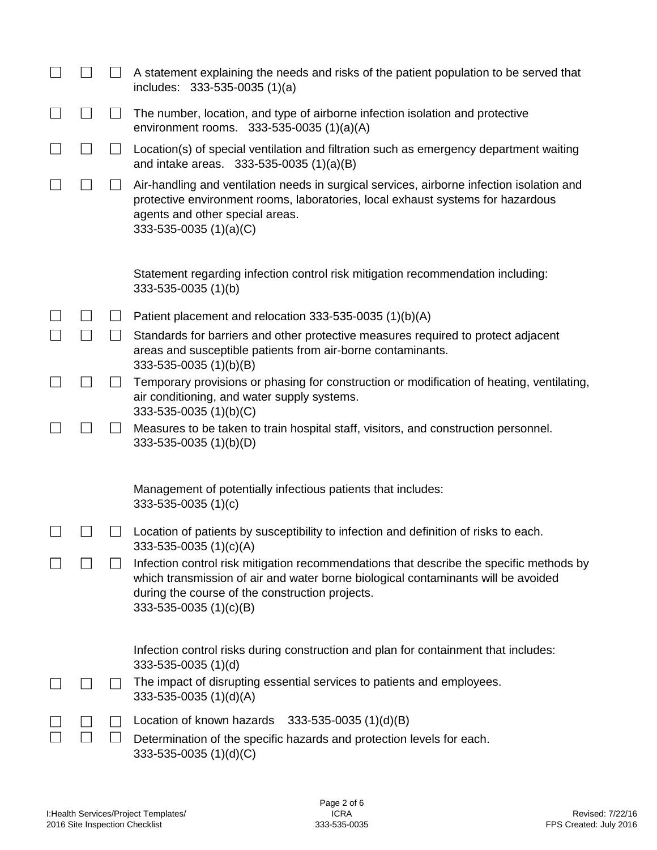|               |        | A statement explaining the needs and risks of the patient population to be served that<br>includes: 333-535-0035 (1)(a)                                                                                                                                         |
|---------------|--------|-----------------------------------------------------------------------------------------------------------------------------------------------------------------------------------------------------------------------------------------------------------------|
|               | $\Box$ | The number, location, and type of airborne infection isolation and protective<br>environment rooms. 333-535-0035 $(1)(a)(A)$                                                                                                                                    |
| $\Box$        | $\Box$ | Location(s) of special ventilation and filtration such as emergency department waiting<br>and intake areas. 333-535-0035 (1)(a)(B)                                                                                                                              |
| $\mathcal{L}$ | ⊔      | Air-handling and ventilation needs in surgical services, airborne infection isolation and<br>protective environment rooms, laboratories, local exhaust systems for hazardous<br>agents and other special areas.<br>$333 - 535 - 0035$ (1)(a)(C)                 |
|               |        | Statement regarding infection control risk mitigation recommendation including:<br>333-535-0035 (1)(b)                                                                                                                                                          |
|               | $\Box$ | Patient placement and relocation 333-535-0035 (1)(b)(A)                                                                                                                                                                                                         |
|               |        | Standards for barriers and other protective measures required to protect adjacent<br>areas and susceptible patients from air-borne contaminants.<br>333-535-0035 (1)(b)(B)                                                                                      |
|               | $\Box$ | Temporary provisions or phasing for construction or modification of heating, ventilating,<br>air conditioning, and water supply systems.<br>333-535-0035 (1)(b)(C)                                                                                              |
|               | ⊔      | Measures to be taken to train hospital staff, visitors, and construction personnel.<br>333-535-0035 (1)(b)(D)                                                                                                                                                   |
|               |        | Management of potentially infectious patients that includes:<br>$333 - 535 - 0035(1)(c)$                                                                                                                                                                        |
|               |        | Location of patients by susceptibility to infection and definition of risks to each.<br>333-535-0035 (1)(c)(A)                                                                                                                                                  |
|               |        | Infection control risk mitigation recommendations that describe the specific methods by<br>which transmission of air and water borne biological contaminants will be avoided<br>during the course of the construction projects.<br>$333 - 535 - 0035$ (1)(c)(B) |
|               |        | Infection control risks during construction and plan for containment that includes:<br>333-535-0035 (1)(d)                                                                                                                                                      |
|               | $\sim$ | The impact of disrupting essential services to patients and employees.<br>333-535-0035 (1)(d)(A)                                                                                                                                                                |
|               |        | Location of known hazards<br>$333 - 535 - 0035$ (1)(d)(B)                                                                                                                                                                                                       |
|               |        | Determination of the specific hazards and protection levels for each.<br>$333 - 535 - 0035$ (1)(d)(C)                                                                                                                                                           |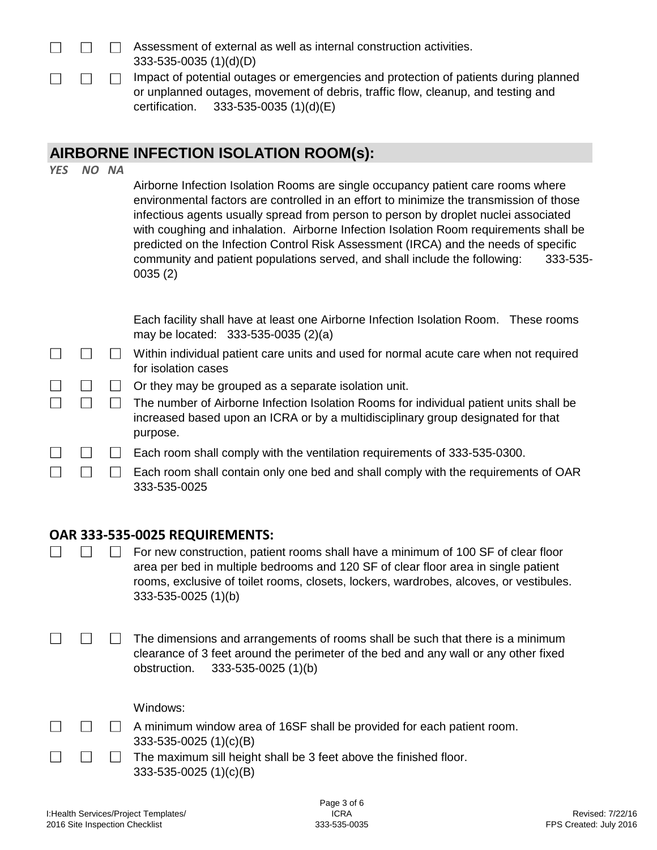| $\mathbf{1}$ $\mathbf{1}$ $\mathbf{1}$ | $\Box$ $\Box$ | Assessment of external as well as internal construction activities.                                                                                                      |
|----------------------------------------|---------------|--------------------------------------------------------------------------------------------------------------------------------------------------------------------------|
|                                        |               | $333 - 535 - 0035$ (1)(d)(D)                                                                                                                                             |
|                                        | 11 17 F       | Impact of potential outages or emergencies and protection of patients during planned<br>or unplanned outages, movement of debris, traffic flow, cleanup, and testing and |
|                                        |               | certification. $333-535-0035(1)(d)(E)$                                                                                                                                   |

# **AIRBORNE INFECTION ISOLATION ROOM(s):**

| <b>YES</b>               |                | NO NA        | Airborne Infection Isolation Rooms are single occupancy patient care rooms where<br>environmental factors are controlled in an effort to minimize the transmission of those<br>infectious agents usually spread from person to person by droplet nuclei associated<br>with coughing and inhalation. Airborne Infection Isolation Room requirements shall be<br>predicted on the Infection Control Risk Assessment (IRCA) and the needs of specific<br>community and patient populations served, and shall include the following:<br>333-535-<br>0035(2) |
|--------------------------|----------------|--------------|---------------------------------------------------------------------------------------------------------------------------------------------------------------------------------------------------------------------------------------------------------------------------------------------------------------------------------------------------------------------------------------------------------------------------------------------------------------------------------------------------------------------------------------------------------|
|                          |                |              | Each facility shall have at least one Airborne Infection Isolation Room. These rooms<br>may be located: 333-535-0035 (2)(a)                                                                                                                                                                                                                                                                                                                                                                                                                             |
| $\overline{\phantom{a}}$ |                | $\perp$      | Within individual patient care units and used for normal acute care when not required<br>for isolation cases                                                                                                                                                                                                                                                                                                                                                                                                                                            |
|                          | $\mathsf{L}$   | ⊔            | Or they may be grouped as a separate isolation unit.                                                                                                                                                                                                                                                                                                                                                                                                                                                                                                    |
|                          |                | $\Box$       | The number of Airborne Infection Isolation Rooms for individual patient units shall be<br>increased based upon an ICRA or by a multidisciplinary group designated for that<br>purpose.                                                                                                                                                                                                                                                                                                                                                                  |
|                          |                |              | Each room shall comply with the ventilation requirements of 333-535-0300.                                                                                                                                                                                                                                                                                                                                                                                                                                                                               |
|                          | $\blacksquare$ |              | Each room shall contain only one bed and shall comply with the requirements of OAR<br>333-535-0025                                                                                                                                                                                                                                                                                                                                                                                                                                                      |
|                          |                |              | OAR 333-535-0025 REQUIREMENTS:                                                                                                                                                                                                                                                                                                                                                                                                                                                                                                                          |
|                          |                |              | For new construction, patient rooms shall have a minimum of 100 SF of clear floor<br>area per bed in multiple bedrooms and 120 SF of clear floor area in single patient<br>rooms, exclusive of toilet rooms, closets, lockers, wardrobes, alcoves, or vestibules.<br>333-535-0025 (1)(b)                                                                                                                                                                                                                                                                |
|                          |                |              | The dimensions and arrangements of rooms shall be such that there is a minimum<br>clearance of 3 feet around the perimeter of the bed and any wall or any other fixed<br>333-535-0025 (1)(b)<br>obstruction.                                                                                                                                                                                                                                                                                                                                            |
|                          |                |              | Windows:                                                                                                                                                                                                                                                                                                                                                                                                                                                                                                                                                |
|                          |                | $\mathbf{L}$ | A minimum window area of 16SF shall be provided for each patient room.                                                                                                                                                                                                                                                                                                                                                                                                                                                                                  |
|                          |                |              | 333-535-0025 $(1)(c)(B)$                                                                                                                                                                                                                                                                                                                                                                                                                                                                                                                                |
|                          |                |              | The maximum sill height shall be 3 feet above the finished floor.<br>333-535-0025 (1)(c)(B)                                                                                                                                                                                                                                                                                                                                                                                                                                                             |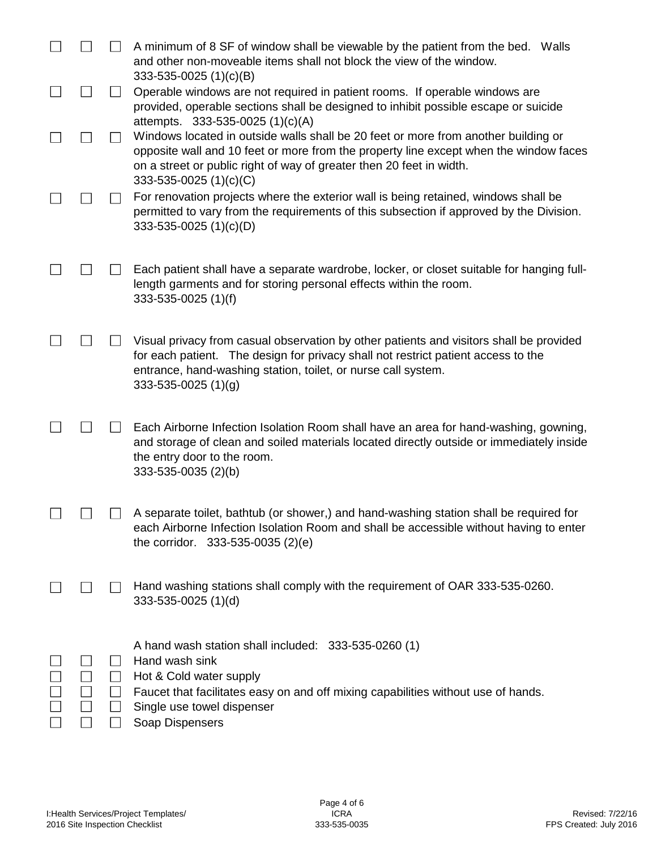|  |                                   | A minimum of 8 SF of window shall be viewable by the patient from the bed. Walls<br>and other non-moveable items shall not block the view of the window.<br>333-535-0025 (1)(c)(B)                                                                                            |
|--|-----------------------------------|-------------------------------------------------------------------------------------------------------------------------------------------------------------------------------------------------------------------------------------------------------------------------------|
|  |                                   | Operable windows are not required in patient rooms. If operable windows are<br>provided, operable sections shall be designed to inhibit possible escape or suicide<br>attempts. 333-535-0025 (1)(c)(A)                                                                        |
|  |                                   | Windows located in outside walls shall be 20 feet or more from another building or<br>opposite wall and 10 feet or more from the property line except when the window faces<br>on a street or public right of way of greater then 20 feet in width.<br>333-535-0025 (1)(c)(C) |
|  |                                   | For renovation projects where the exterior wall is being retained, windows shall be<br>permitted to vary from the requirements of this subsection if approved by the Division.<br>333-535-0025 (1)(c)(D)                                                                      |
|  |                                   | Each patient shall have a separate wardrobe, locker, or closet suitable for hanging full-<br>length garments and for storing personal effects within the room.<br>333-535-0025 (1)(f)                                                                                         |
|  |                                   | Visual privacy from casual observation by other patients and visitors shall be provided<br>for each patient. The design for privacy shall not restrict patient access to the<br>entrance, hand-washing station, toilet, or nurse call system.<br>$333 - 535 - 0025$ (1)(g)    |
|  |                                   | Each Airborne Infection Isolation Room shall have an area for hand-washing, gowning,<br>and storage of clean and soiled materials located directly outside or immediately inside<br>the entry door to the room.<br>333-535-0035 (2)(b)                                        |
|  |                                   | A separate toilet, bathtub (or shower,) and hand-washing station shall be required for<br>each Airborne Infection Isolation Room and shall be accessible without having to enter<br>the corridor. $333-535-0035(2)(e)$                                                        |
|  |                                   | Hand washing stations shall comply with the requirement of OAR 333-535-0260.<br>333-535-0025 (1)(d)                                                                                                                                                                           |
|  | $\mathsf{L}$<br>$\Box$<br>$\perp$ | A hand wash station shall included: 333-535-0260 (1)<br>Hand wash sink<br>Hot & Cold water supply<br>Faucet that facilitates easy on and off mixing capabilities without use of hands.<br>Single use towel dispenser<br>Soap Dispensers                                       |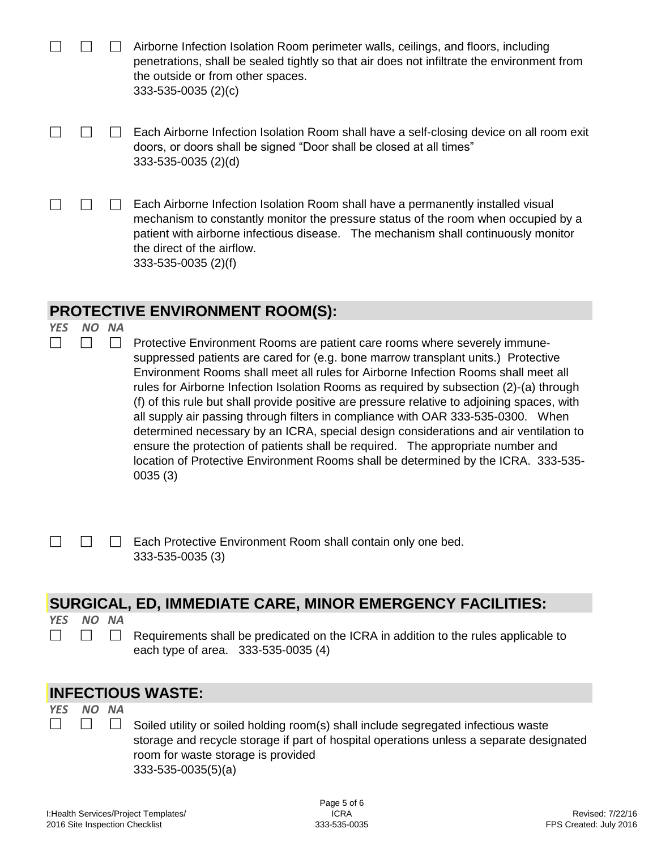|            |     |                           | Airborne Infection Isolation Room perimeter walls, ceilings, and floors, including<br>penetrations, shall be sealed tightly so that air does not infiltrate the environment from<br>the outside or from other spaces.<br>$333 - 535 - 0035$ (2)(c)                                                                                                                                                                                                                                                                                                                                                                                                                                                             |
|------------|-----|---------------------------|----------------------------------------------------------------------------------------------------------------------------------------------------------------------------------------------------------------------------------------------------------------------------------------------------------------------------------------------------------------------------------------------------------------------------------------------------------------------------------------------------------------------------------------------------------------------------------------------------------------------------------------------------------------------------------------------------------------|
|            |     |                           | Each Airborne Infection Isolation Room shall have a self-closing device on all room exit<br>doors, or doors shall be signed "Door shall be closed at all times"<br>333-535-0035 (2)(d)                                                                                                                                                                                                                                                                                                                                                                                                                                                                                                                         |
|            |     |                           | Each Airborne Infection Isolation Room shall have a permanently installed visual<br>mechanism to constantly monitor the pressure status of the room when occupied by a<br>patient with airborne infectious disease. The mechanism shall continuously monitor<br>the direct of the airflow.<br>333-535-0035 (2)(f)                                                                                                                                                                                                                                                                                                                                                                                              |
|            |     |                           | <b>PROTECTIVE ENVIRONMENT ROOM(S):</b>                                                                                                                                                                                                                                                                                                                                                                                                                                                                                                                                                                                                                                                                         |
| <b>YES</b> | NO. | <b>NA</b><br>$\mathsf{L}$ | Protective Environment Rooms are patient care rooms where severely immune-<br>suppressed patients are cared for (e.g. bone marrow transplant units.) Protective<br>Environment Rooms shall meet all rules for Airborne Infection Rooms shall meet all<br>rules for Airborne Infection Isolation Rooms as required by subsection (2)-(a) through<br>(f) of this rule but shall provide positive are pressure relative to adjoining spaces, with<br>all supply air passing through filters in compliance with OAR 333-535-0300. When<br>determined necessary by an ICRA, special design considerations and air ventilation to<br>ensure the protection of patients shall be required. The appropriate number and |
|            |     |                           | location of Protective Environment Rooms shall be determined by the ICRA. 333-535-<br>0035(3)                                                                                                                                                                                                                                                                                                                                                                                                                                                                                                                                                                                                                  |

 $\Box$ Each Protective Environment Room shall contain only one bed.  $\Box$ 333-535-0035 (3)

## **SURGICAL, ED, IMMEDIATE CARE, MINOR EMERGENCY FACILITIES:**

*YES NO NA*  $\Box$ 

 $\Box$ 

 $\Box$ 

 $\Box$ Requirements shall be predicated on the ICRA in addition to the rules applicable to each type of area. 333-535-0035 (4)

### **INFECTIOUS WASTE:**

*YES NO NA*

 $\Box$ Soiled utility or soiled holding room(s) shall include segregated infectious waste storage and recycle storage if part of hospital operations unless a separate designated room for waste storage is provided 333-535-0035(5)(a)